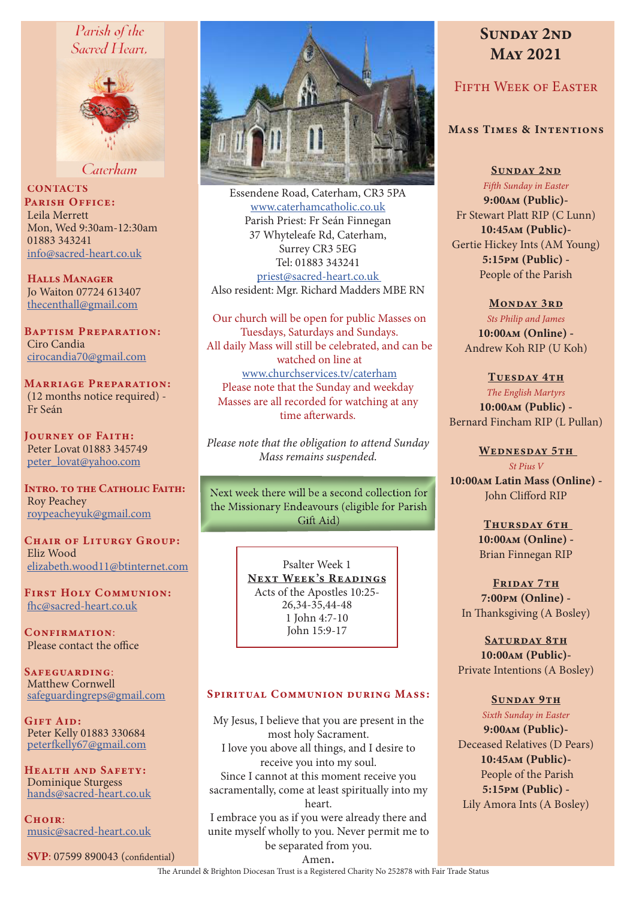# Parish of the Sacred Heart,



Caterham

**CONTACTS** PARISH OFFICE: Leila Merrett Mon, Wed 9:30am-12:30am 01883 343241 info@sacred-heart.co.uk

Halls Manager Jo Waiton 07724 613407 thecenthall@gmail.com

Baptism Preparation: Ciro Candia cirocandia70@gmail.com

Marriage Preparation: (12 months notice required) - Fr Seán

Journey of Faith: Peter Lovat 01883 345749 peter\_lovat@yahoo.com

INTRO. TO THE CATHOLIC FAITH: Roy Peachey roypeacheyuk@gmail.com

CHAIR OF LITURGY GROUP: Eliz Wood elizabeth.wood11@btinternet.com

First Holy Communion: fhc@sacred-heart.co.uk

CONFIRMATION: Please contact the office

Safeguarding: Matthew Cornwell safeguardingreps@gmail.com

Gift Aid: Peter Kelly 01883 330684 peterfkelly67@gmail.com

Health and Safety: Dominique Sturgess hands@sacred-heart.co.uk

 $C$ HOIR $\cdot$ music@sacred-heart.co.uk

SVP: 07599 890043 (confidential)



Essendene Road, Caterham, CR3 5PA www.caterhamcatholic.co.uk Parish Priest: Fr Seán Finnegan 37 Whyteleafe Rd, Caterham, Surrey CR3 5EG Tel: 01883 343241 priest@sacred-heart.co.uk Also resident: Mgr. Richard Madders MBE RN

Our church will be open for public Masses on Tuesdays, Saturdays and Sundays. All daily Mass will still be celebrated, and can be watched on line at www.churchservices.tv/caterham Please note that the Sunday and weekday Masses are all recorded for watching at any time afterwards.

*Please note that the obligation to attend Sunday Mass remains suspended.*

Next week there will be a second collection for the Missionary Endeavours (eligible for Parish Gift Aid)

> Psalter Week 1 NEXT WEEK'S READINGS Acts of the Apostles 10:25- 26,34-35,44-48 1 John 4:7-10 John 15:9-17

## SPIRITUAL COMMUNION DURING MASS:

My Jesus, I believe that you are present in the most holy Sacrament. I love you above all things, and I desire to receive you into my soul. Since I cannot at this moment receive you sacramentally, come at least spiritually into my heart. I embrace you as if you were already there and

unite myself wholly to you. Never permit me to be separated from you.

# SUNDAY 2ND May 2021

## FIFTH WEEK OF EASTER

## Mass Times & Intentions

Sunday 2nd *Fifth Sunday in Easter* 9:00am (Public)- Fr Stewart Platt RIP (C Lunn) 10:45am (Public)- Gertie Hickey Ints (AM Young) 5:15pm (Public) - People of the Parish

MONDAY 3RD *Sts Philip and James* 10:00am (Online) - Andrew Koh RIP (U Koh)

TUESDAY 4TH *The English Martyrs* 10:00am (Public) - Bernard Fincham RIP (L Pullan)

WEDNESDAY 5TH *St Pius V* 10:00am Latin Mass (Online) - John Clifford RIP

> THURSDAY 6TH 10:00am (Online) - Brian Finnegan RIP

FRIDAY 7TH 7:00pm (Online) - In Thanksgiving (A Bosley)

SATURDAY 8TH 10:00am (Public)- Private Intentions (A Bosley)

#### SUNDAY 9TH

*Sixth Sunday in Easter* 9:00am (Public)- Deceased Relatives (D Pears) 10:45am (Public)- People of the Parish 5:15pm (Public) - Lily Amora Ints (A Bosley)

Amen. The Arundel & Brighton Diocesan Trust is a Registered Charity No 252878 with Fair Trade Status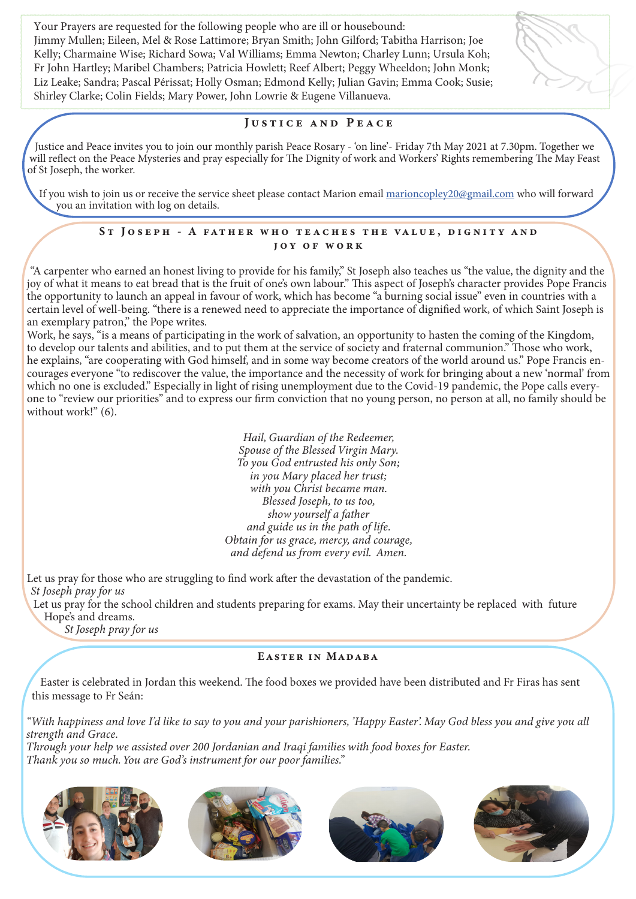Your Prayers are requested for the following people who are ill or housebound: Jimmy Mullen; Eileen, Mel & Rose Lattimore; Bryan Smith; John Gilford; Tabitha Harrison; Joe Kelly; Charmaine Wise; Richard Sowa; Val Williams; Emma Newton; Charley Lunn; Ursula Koh; Fr John Hartley; Maribel Chambers; Patricia Howlett; Reef Albert; Peggy Wheeldon; John Monk; Liz Leake; Sandra; Pascal Périssat; Holly Osman; Edmond Kelly; Julian Gavin; Emma Cook; Susie; Shirley Clarke; Colin Fields; Mary Power, John Lowrie & Eugene Villanueva.

## Justice and Peace

Justice and Peace invites you to join our monthly parish Peace Rosary - 'on line'- Friday 7th May 2021 at 7.30pm. Together we will reflect on the Peace Mysteries and pray especially for The Dignity of work and Workers' Rights remembering The May Feast of St Joseph, the worker.

If you wish to join us or receive the service sheet please contact Marion email marioncopley20@gmail.com who will forward you an invitation with log on details.

#### ST JOSEPH - A FATHER WHO TEACHES THE VALUE, DIGNITY AND joy of work

"A carpenter who earned an honest living to provide for his family," St Joseph also teaches us "the value, the dignity and the joy of what it means to eat bread that is the fruit of one's own labour." This aspect of Joseph's character provides Pope Francis the opportunity to launch an appeal in favour of work, which has become "a burning social issue" even in countries with a certain level of well-being. "there is a renewed need to appreciate the importance of dignified work, of which Saint Joseph is an exemplary patron," the Pope writes.

Work, he says, "is a means of participating in the work of salvation, an opportunity to hasten the coming of the Kingdom, to develop our talents and abilities, and to put them at the service of society and fraternal communion." Those who work, he explains, "are cooperating with God himself, and in some way become creators of the world around us." Pope Francis encourages everyone "to rediscover the value, the importance and the necessity of work for bringing about a new 'normal' from which no one is excluded." Especially in light of rising unemployment due to the Covid-19 pandemic, the Pope calls everyone to "review our priorities" and to express our firm conviction that no young person, no person at all, no family should be without work!" (6).

> *Hail, Guardian of the Redeemer, Spouse of the Blessed Virgin Mary. To you God entrusted his only Son; in you Mary placed her trust; with you Christ became man. Blessed Joseph, to us too, show yourself a father and guide us in the path of life. Obtain for us grace, mercy, and courage, and defend us from every evil. Amen.*

Let us pray for those who are struggling to find work after the devastation of the pandemic.  *St Joseph pray for us*

Let us pray for the school children and students preparing for exams. May their uncertainty be replaced with future Hope's and dreams.

*St Joseph pray for us*

#### Easter in Madaba

Easter is celebrated in Jordan this weekend. The food boxes we provided have been distributed and Fr Firas has sent this message to Fr Seán:

*"With happiness and love I'd like to say to you and your parishioners, 'Happy Easter'. May God bless you and give you all strength and Grace.*

*Through your help we assisted over 200 Jordanian and Iraqi families with food boxes for Easter. Thank you so much. You are God's instrument for our poor families."*

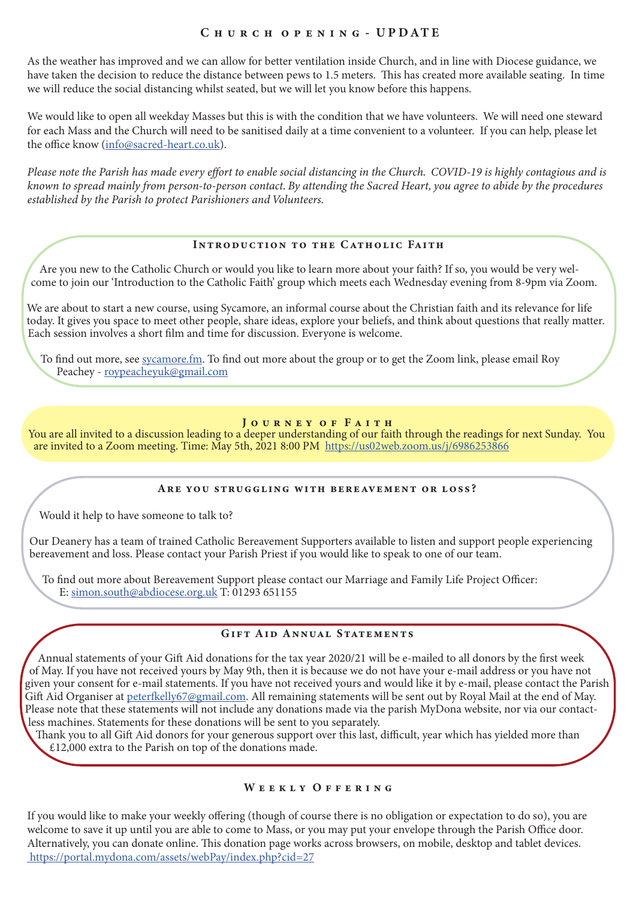## CHURCH OPENING - UPDATE

As the weather has improved and we can allow for better ventilation inside Church, and in line with Diocese guidance, we have taken the decision to reduce the distance between pews to 1.5 meters. This has created more available seating. In time we will reduce the social distancing whilst seated, but we will let you know before this happens.

We would like to open all weekday Masses but this is with the condition that we have volunteers. We will need one steward for each Mass and the Church will need to be sanitised daily at a time convenient to a volunteer. If you can help, please let the office know (info@sacred-heart.co.uk).

*Please note the Parish has made every effort to enable social distancing in the Church. COVID-19 is highly contagious and is known to spread mainly from person-to-person contact. By attending the Sacred Heart, you agree to abide by the procedures established by the Parish to protect Parishioners and Volunteers.*

## Introduction to the Catholic Faith

Are you new to the Catholic Church or would you like to learn more about your faith? If so, you would be very welcome to join our 'Introduction to the Catholic Faith' group which meets each Wednesday evening from 8-9pm via Zoom.

We are about to start a new course, using Sycamore, an informal course about the Christian faith and its relevance for life today. It gives you space to meet other people, share ideas, explore your beliefs, and think about questions that really matter. Each session involves a short film and time for discussion. Everyone is welcome.

To find out more, see sycamore.fm. To find out more about the group or to get the Zoom link, please email Roy Peachey - roypeacheyuk@gmail.com

## JOURNEY OF FAITH

You are all invited to a discussion leading to a deeper understanding of our faith through the readings for next Sunday. You are invited to a Zoom meeting. Time: May 5th, 2021 8:00 PM https://us02web.zoom.us/j/6986253866

#### Are you struggling with bereavement or loss?

Would it help to have someone to talk to?

Our Deanery has a team of trained Catholic Bereavement Supporters available to listen and support people experiencing bereavement and loss. Please contact your Parish Priest if you would like to speak to one of our team.

To find out more about Bereavement Support please contact our Marriage and Family Life Project Officer: E: simon.south@abdiocese.org.uk T: 01293 651155

## GIFT AID ANNUAL STATEMENTS

Annual statements of your Gift Aid donations for the tax year 2020/21 will be e-mailed to all donors by the first week of May. If you have not received yours by May 9th, then it is because we do not have your e-mail address or you have not given your consent for e-mail statements. If you have not received yours and would like it by e-mail, please contact the Parish Gift Aid Organiser at peterfkelly67@gmail.com. All remaining statements will be sent out by Royal Mail at the end of May. Please note that these statements will not include any donations made via the parish MyDona website, nor via our contactless machines. Statements for these donations will be sent to you separately.

Thank you to all Gift Aid donors for your generous support over this last, difficult, year which has yielded more than £12,000 extra to the Parish on top of the donations made.

#### WEEKLY OFFERING

If you would like to make your weekly offering (though of course there is no obligation or expectation to do so), you are welcome to save it up until you are able to come to Mass, or you may put your envelope through the Parish Office door. Alternatively, you can donate online. This donation page works across browsers, on mobile, desktop and tablet devices. https://portal.mydona.com/assets/webPay/index.php?cid=27